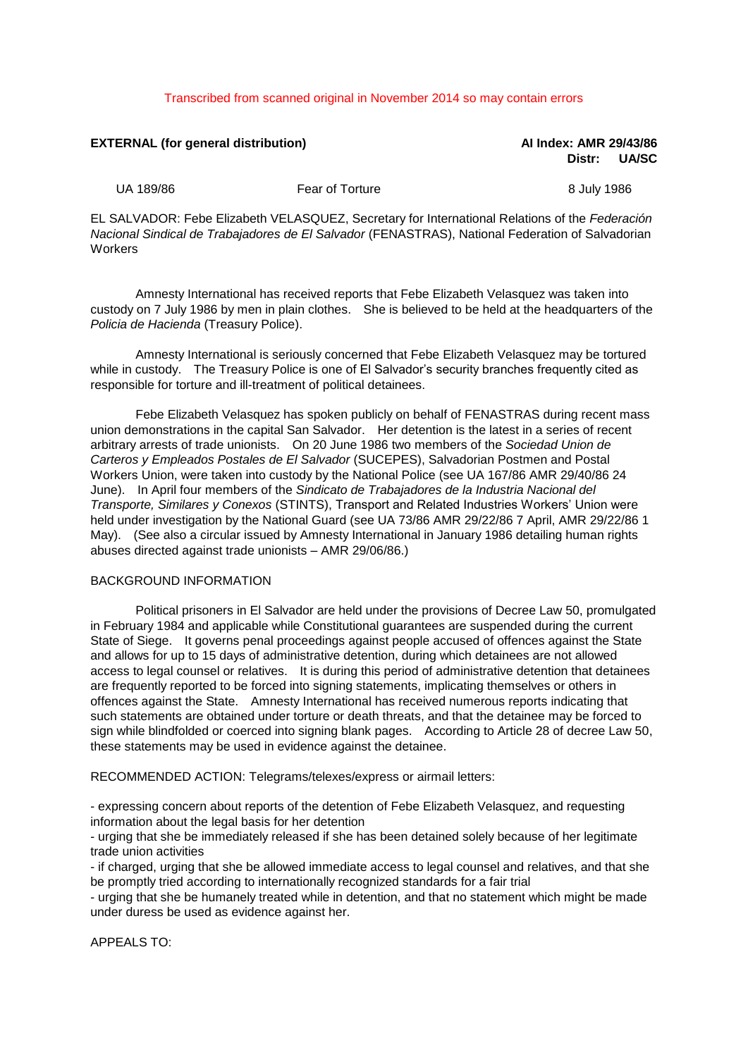## Transcribed from scanned original in November 2014 so may contain errors

| <b>EXTERNAL (for general distribution)</b> |                                                                                                                                                                                                    | Al Index: AMR 29/43/86<br><b>UA/SC</b><br>Distr: |
|--------------------------------------------|----------------------------------------------------------------------------------------------------------------------------------------------------------------------------------------------------|--------------------------------------------------|
| UA 189/86                                  | Fear of Torture                                                                                                                                                                                    | 8 July 1986                                      |
|                                            | EL SALVADOR: Febe Elizabeth VELASQUEZ, Secretary for International Relations of the Federación<br>Nacional Sindical de Trabajadores de El Salvador (FENASTRAS), National Federation of Salvadorian |                                                  |

Amnesty International has received reports that Febe Elizabeth Velasquez was taken into

custody on 7 July 1986 by men in plain clothes. She is believed to be held at the headquarters of the *Policia de Hacienda* (Treasury Police).

Amnesty International is seriously concerned that Febe Elizabeth Velasquez may be tortured while in custody. The Treasury Police is one of El Salvador's security branches frequently cited as responsible for torture and ill-treatment of political detainees.

Febe Elizabeth Velasquez has spoken publicly on behalf of FENASTRAS during recent mass union demonstrations in the capital San Salvador. Her detention is the latest in a series of recent arbitrary arrests of trade unionists. On 20 June 1986 two members of the *Sociedad Union de Carteros y Empleados Postales de El Salvador* (SUCEPES), Salvadorian Postmen and Postal Workers Union, were taken into custody by the National Police (see UA 167/86 AMR 29/40/86 24 June). In April four members of the *Sindicato de Trabajadores de la Industria Nacional del Transporte, Similares y Conexos* (STINTS), Transport and Related Industries Workers' Union were held under investigation by the National Guard (see UA 73/86 AMR 29/22/86 7 April, AMR 29/22/86 1 May). (See also a circular issued by Amnesty International in January 1986 detailing human rights abuses directed against trade unionists – AMR 29/06/86.)

## BACKGROUND INFORMATION

**Workers** 

Political prisoners in El Salvador are held under the provisions of Decree Law 50, promulgated in February 1984 and applicable while Constitutional guarantees are suspended during the current State of Siege. It governs penal proceedings against people accused of offences against the State and allows for up to 15 days of administrative detention, during which detainees are not allowed access to legal counsel or relatives. It is during this period of administrative detention that detainees are frequently reported to be forced into signing statements, implicating themselves or others in offences against the State. Amnesty International has received numerous reports indicating that such statements are obtained under torture or death threats, and that the detainee may be forced to sign while blindfolded or coerced into signing blank pages. According to Article 28 of decree Law 50, these statements may be used in evidence against the detainee.

RECOMMENDED ACTION: Telegrams/telexes/express or airmail letters:

- expressing concern about reports of the detention of Febe Elizabeth Velasquez, and requesting information about the legal basis for her detention

- urging that she be immediately released if she has been detained solely because of her legitimate trade union activities

- if charged, urging that she be allowed immediate access to legal counsel and relatives, and that she be promptly tried according to internationally recognized standards for a fair trial

- urging that she be humanely treated while in detention, and that no statement which might be made under duress be used as evidence against her.

APPEALS TO: